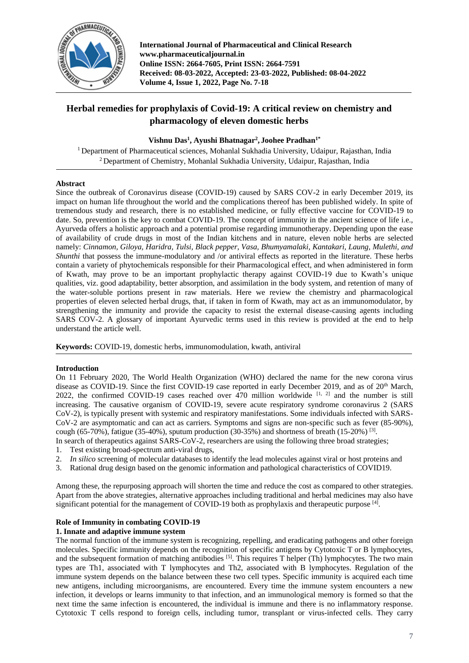

**International Journal of Pharmaceutical and Clinical Research www.pharmaceuticaljournal.in Online ISSN: 2664-7605, Print ISSN: 2664-7591 Received: 08-03-2022, Accepted: 23-03-2022, Published: 08-04-2022 Volume 4, Issue 1, 2022, Page No. 7-18**

# **Herbal remedies for prophylaxis of Covid-19: A critical review on chemistry and pharmacology of eleven domestic herbs**

## **Vishnu Das<sup>1</sup> , Ayushi Bhatnagar<sup>2</sup> , Joohee Pradhan1\***

<sup>1</sup> Department of Pharmaceutical sciences, Mohanlal Sukhadia University, Udaipur, Rajasthan, India <sup>2</sup> Department of Chemistry, Mohanlal Sukhadia University, Udaipur, Rajasthan, India

### **Abstract**

Since the outbreak of Coronavirus disease (COVID-19) caused by SARS COV-2 in early December 2019, its impact on human life throughout the world and the complications thereof has been published widely. In spite of tremendous study and research, there is no established medicine, or fully effective vaccine for COVID-19 to date. So, prevention is the key to combat COVID-19. The concept of immunity in the ancient science of life i.e., Ayurveda offers a holistic approach and a potential promise regarding immunotherapy. Depending upon the ease of availability of crude drugs in most of the Indian kitchens and in nature, eleven noble herbs are selected namely: *Cinnamon, Giloya, Haridra, Tulsi, Black pepper, Vasa, Bhumyamalaki, Kantakari, Laung, Mulethi, and Shunthi* that possess the immune-modulatory and /or antiviral effects as reported in the literature. These herbs contain a variety of phytochemicals responsible for their Pharmacological effect, and when administered in form of Kwath, may prove to be an important prophylactic therapy against COVID-19 due to Kwath's unique qualities, viz. good adaptability, better absorption, and assimilation in the body system, and retention of many of the water-soluble portions present in raw materials. Here we review the chemistry and pharmacological properties of eleven selected herbal drugs, that, if taken in form of Kwath, may act as an immunomodulator, by strengthening the immunity and provide the capacity to resist the external disease-causing agents including SARS COV-2. A glossary of important Ayurvedic terms used in this review is provided at the end to help understand the article well.

**Keywords:** COVID-19, domestic herbs, immunomodulation, kwath, antiviral

### **Introduction**

On 11 February 2020, The World Health Organization (WHO) declared the name for the new corona virus disease as COVID-19. Since the first COVID-19 case reported in early December 2019, and as of 20<sup>th</sup> March, 2022, the confirmed COVID-19 cases reached over 470 million worldwide  $[1, 2]$  and the number is still increasing. The causative organism of COVID-19, severe acute respiratory syndrome coronavirus 2 (SARS CoV-2), is typically present with systemic and respiratory manifestations. Some individuals infected with SARS-CoV-2 are asymptomatic and can act as carriers. Symptoms and signs are non-specific such as fever (85-90%), cough (65-70%), fatigue (35-40%), sputum production (30-35%) and shortness of breath (15-20%)  $^{[3]}$ .

In search of therapeutics against SARS-CoV-2, researchers are using the following three broad strategies;

- 1. Test existing broad-spectrum anti-viral drugs,
- 2. *In silico* screening of molecular databases to identify the lead molecules against viral or host proteins and
- 3. Rational drug design based on the genomic information and pathological characteristics of COVID19.

Among these, the repurposing approach will shorten the time and reduce the cost as compared to other strategies. Apart from the above strategies, alternative approaches including traditional and herbal medicines may also have significant potential for the management of COVID-19 both as prophylaxis and therapeutic purpose [4].

### **Role of Immunity in combating COVID-19**

### **1. Innate and adaptive immune system**

The normal function of the immune system is recognizing, repelling, and eradicating pathogens and other foreign molecules. Specific immunity depends on the recognition of specific antigens by Cytotoxic T or B lymphocytes, and the subsequent formation of matching antibodies  $[5]$ . This requires T helper (Th) lymphocytes. The two main types are Th1, associated with T lymphocytes and Th2, associated with B lymphocytes. Regulation of the immune system depends on the balance between these two cell types. Specific immunity is acquired each time new antigens, including microorganisms, are encountered. Every time the immune system encounters a new infection, it develops or learns immunity to that infection, and an immunological memory is formed so that the next time the same infection is encountered, the individual is immune and there is no inflammatory response. Cytotoxic T cells respond to foreign cells, including tumor, transplant or virus-infected cells. They carry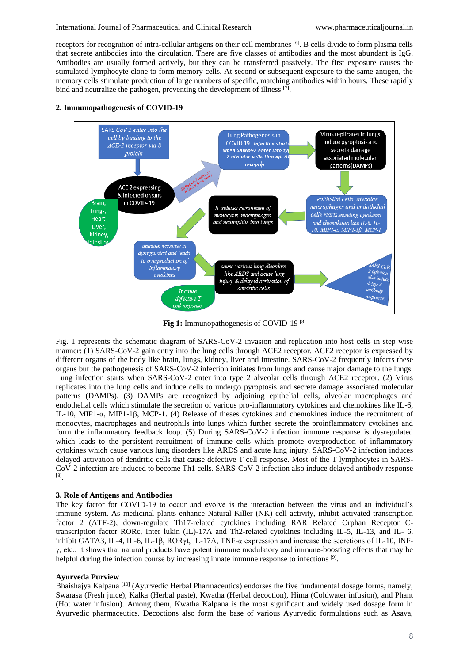receptors for recognition of intra-cellular antigens on their cell membranes [6]. B cells divide to form plasma cells that secrete antibodies into the circulation. There are five classes of antibodies and the most abundant is IgG. Antibodies are usually formed actively, but they can be transferred passively. The first exposure causes the stimulated lymphocyte clone to form memory cells. At second or subsequent exposure to the same antigen, the memory cells stimulate production of large numbers of specific, matching antibodies within hours. These rapidly bind and neutralize the pathogen, preventing the development of illness [7].





Fig 1: Immunopathogenesis of COVID-19<sup>[8]</sup>

Fig. 1 represents the schematic diagram of SARS-CoV-2 invasion and replication into host cells in step wise manner: (1) SARS-CoV-2 gain entry into the lung cells through ACE2 receptor. ACE2 receptor is expressed by different organs of the body like brain, lungs, kidney, liver and intestine. SARS-CoV-2 frequently infects these organs but the pathogenesis of SARS-CoV-2 infection initiates from lungs and cause major damage to the lungs. Lung infection starts when SARS-CoV-2 enter into type 2 alveolar cells through ACE2 receptor. (2) Virus replicates into the lung cells and induce cells to undergo pyroptosis and secrete damage associated molecular patterns (DAMPs). (3) DAMPs are recognized by adjoining epithelial cells, alveolar macrophages and endothelial cells which stimulate the secretion of various pro-inflammatory cytokines and chemokines like IL-6, IL-10, MIP1-α, MIP1-1β, MCP-1. (4) Release of theses cytokines and chemokines induce the recruitment of monocytes, macrophages and neutrophils into lungs which further secrete the proinflammatory cytokines and form the inflammatory feedback loop. (5) During SARS-CoV-2 infection immune response is dysregulated which leads to the persistent recruitment of immune cells which promote overproduction of inflammatory cytokines which cause various lung disorders like ARDS and acute lung injury. SARS-CoV-2 infection induces delayed activation of dendritic cells that cause defective T cell response. Most of the T lymphocytes in SARS-CoV-2 infection are induced to become Th1 cells. SARS-CoV-2 infection also induce delayed antibody response [8] .

### **3. Role of Antigens and Antibodies**

The key factor for COVID-19 to occur and evolve is the interaction between the virus and an individual's immune system. As medicinal plants enhance Natural Killer (NK) cell activity, inhibit activated transcription factor 2 (ATF-2), down-regulate Th17-related cytokines including RAR Related Orphan Receptor Ctranscription factor RORc, Inter lukin (IL)-17A and Th2-related cytokines including IL-5, IL-13, and IL- 6, inhibit GATA3, IL-4, IL-6, IL-1β, RORγt, IL-17A, TNF-α expression and increase the secretions of IL-10, INFγ, etc., it shows that natural products have potent immune modulatory and immune-boosting effects that may be helpful during the infection course by increasing innate immune response to infections<sup>[9]</sup>.

#### **Ayurveda Purview**

Bhaishajya Kalpana <sup>[10]</sup> (Ayurvedic Herbal Pharmaceutics) endorses the five fundamental dosage forms, namely, Swarasa (Fresh juice), Kalka (Herbal paste), Kwatha (Herbal decoction), Hima (Coldwater infusion), and Phant (Hot water infusion). Among them, Kwatha Kalpana is the most significant and widely used dosage form in Ayurvedic pharmaceutics. Decoctions also form the base of various Ayurvedic formulations such as Asava,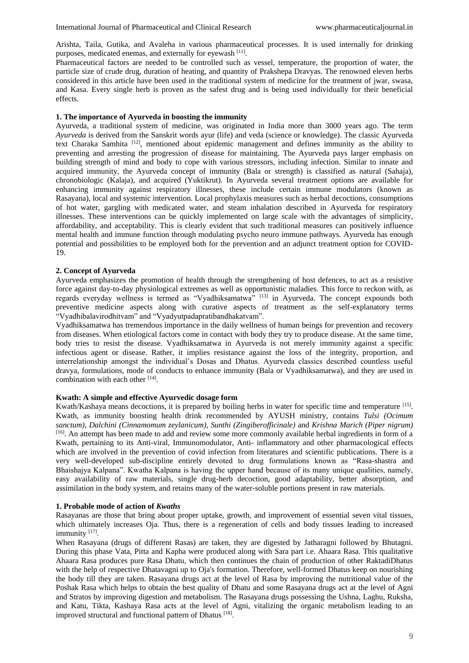Arishta, Taila, Gutika, and Avaleha in various pharmaceutical processes. It is used internally for drinking purposes, medicated enemas, and externally for eyewash [11].

Pharmaceutical factors are needed to be controlled such as vessel, temperature, the proportion of water, the particle size of crude drug, duration of heating, and quantity of Prakshepa Dravyas. The renowned eleven herbs considered in this article have been used in the traditional system of medicine for the treatment of jwar, swasa, and Kasa. Every single herb is proven as the safest drug and is being used individually for their beneficial effects.

### **1. The importance of Ayurveda in boosting the immunity**

Ayurveda, a traditional system of medicine, was originated in India more than 3000 years ago. The term *Ayurveda* is derived from the Sanskrit words ayur (life) and veda (science or knowledge). The classic Ayurveda text Charaka Samhita [12], mentioned about epidemic management and defines immunity as the ability to preventing and arresting the progression of disease for maintaining. The Ayurveda pays larger emphasis on building strength of mind and body to cope with various stressors, including infection. Similar to innate and acquired immunity, the Ayurveda concept of immunity (Bala or strength) is classified as natural (Sahaja), chronobiologic (Kalaja), and acquired (Yuktikrut). In Ayurveda several treatment options are available for enhancing immunity against respiratory illnesses, these include certain immune modulators (known as Rasayana), local and systemic intervention. Local prophylaxis measures such as herbal decoctions, consumptions of hot water, gargling with medicated water, and steam inhalation described in Ayurveda for respiratory illnesses. These interventions can be quickly implemented on large scale with the advantages of simplicity, affordability, and acceptability. This is clearly evident that such traditional measures can positively influence mental health and immune function through modulating psycho neuro immune pathways. Ayurveda has enough potential and possibilities to be employed both for the prevention and an adjunct treatment option for COVID-19.

### **2. Concept of Ayurveda**

Ayurveda emphasizes the promotion of health through the strengthening of host defences, to act as a resistive force against day-to-day physiological extremes as well as opportunistic maladies. This force to reckon with, as regards everyday wellness is termed as "Vyadhiksamatwa" [13] in Ayurveda. The concept expounds both preventive medicine aspects along with curative aspects of treatment as the self-explanatory terms "Vyadhibalavirodhitvam" and "Vyadyutpadapratibandhakatvam".

Vyadhiksamatwa has tremendous importance in the daily wellness of human beings for prevention and recovery from diseases. When etiological factors come in contact with body they try to produce disease. At the same time, body tries to resist the disease. Vyadhiksamatwa in Ayurveda is not merely immunity against a specific infectious agent or disease. Rather, it implies resistance against the loss of the integrity, proportion, and interrelationship amongst the individual's Dosas and Dhatus. Ayurveda classics described countless useful dravya, formulations, mode of conducts to enhance immunity (Bala or Vyadhiksamatwa), and they are used in combination with each other [14].

#### **Kwath: A simple and effective Ayurvedic dosage form**

Kwath/Kashaya means decoctions, it is prepared by boiling herbs in water for specific time and temperature [15]. Kwath, as immunity boosting health drink recommended by AYUSH ministry, contains *Tulsi (Ocimum sanctum), Dalchini (Cinnamomum zeylanicum), Sunthi (Zingiberofficinale)* and *Krishna Marich (Piper nigrum)*  [16]. An attempt has been made to add and review some more commonly available herbal ingredients in form of a Kwath, pertaining to its Anti-viral, Immunomodulator, Anti- inflammatory and other pharmacological effects which are involved in the prevention of covid infection from literatures and scientific publications. There is a very well-developed sub-discipline entirely devoted to drug formulations known as "Rasa-shastra and Bhaishajya Kalpana". Kwatha Kalpana is having the upper hand because of its many unique qualities, namely, easy availability of raw materials, single drug-herb decoction, good adaptability, better absorption, and assimilation in the body system, and retains many of the water-soluble portions present in raw materials.

### **1. Probable mode of action of** *Kwaths*

Rasayanas are those that bring about proper uptake, growth, and improvement of essential seven vital tissues, which ultimately increases Oja. Thus, there is a regeneration of cells and body tissues leading to increased immunity<sup>[17]</sup>.

When Rasayana (drugs of different Rasas) are taken, they are digested by Jatharagni followed by Bhutagni. During this phase Vata, Pitta and Kapha were produced along with Sara part i.e. Ahaara Rasa. This qualitative Ahaara Rasa produces pure Rasa Dhatu, which then continues the chain of production of other RaktadiDhatus with the help of respective Dhatavagni up to Oja's formation. Therefore, well-formed Dhatus keep on nourishing the body till they are taken. Rasayana drugs act at the level of Rasa by improving the nutritional value of the Poshak Rasa which helps to obtain the best quality of Dhatu and some Rasayana drugs act at the level of Agni and Stratos by improving digestion and metabolism. The Rasayana drugs possessing the Ushna, Laghu, Ruksha, and Katu, Tikta, Kashaya Rasa acts at the level of Agni, vitalizing the organic metabolism leading to an improved structural and functional pattern of Dhatus<sup>[18]</sup>.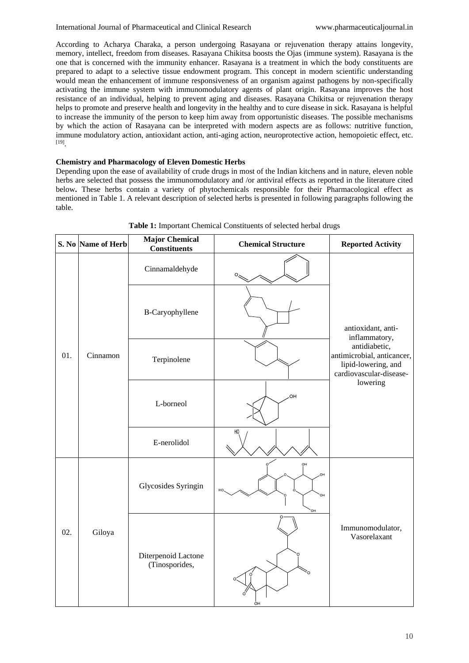According to Acharya Charaka, a person undergoing Rasayana or rejuvenation therapy attains longevity, memory, intellect, freedom from diseases. Rasayana Chikitsa boosts the Ojas (immune system). Rasayana is the one that is concerned with the immunity enhancer. Rasayana is a treatment in which the body constituents are prepared to adapt to a selective tissue endowment program. This concept in modern scientific understanding would mean the enhancement of immune responsiveness of an organism against pathogens by non-specifically activating the immune system with immunomodulatory agents of plant origin. Rasayana improves the host resistance of an individual, helping to prevent aging and diseases. Rasayana Chikitsa or rejuvenation therapy helps to promote and preserve health and longevity in the healthy and to cure disease in sick. Rasayana is helpful to increase the immunity of the person to keep him away from opportunistic diseases. The possible mechanisms by which the action of Rasayana can be interpreted with modern aspects are as follows: nutritive function, immune modulatory action, antioxidant action, anti-aging action, neuroprotective action, hemopoietic effect, etc. [19] .

### **Chemistry and Pharmacology of Eleven Domestic Herbs**

Depending upon the ease of availability of crude drugs in most of the Indian kitchens and in nature, eleven noble herbs are selected that possess the immunomodulatory and /or antiviral effects as reported in the literature cited below**.** These herbs contain a variety of phytochemicals responsible for their Pharmacological effect as mentioned in Table 1. A relevant description of selected herbs is presented in following paragraphs following the table.

|     | S. No Name of Herb | <b>Major Chemical</b><br><b>Constituents</b> | <b>Chemical Structure</b>  | <b>Reported Activity</b>                                                                                                                         |
|-----|--------------------|----------------------------------------------|----------------------------|--------------------------------------------------------------------------------------------------------------------------------------------------|
| 01. | Cinnamon           | Cinnamaldehyde                               | $\sim$                     | antioxidant, anti-<br>inflammatory,<br>antidiabetic,<br>antimicrobial, anticancer,<br>lipid-lowering, and<br>cardiovascular-disease-<br>lowering |
|     |                    | B-Caryophyllene                              |                            |                                                                                                                                                  |
|     |                    | Terpinolene                                  |                            |                                                                                                                                                  |
|     |                    | L-borneol                                    | OH                         |                                                                                                                                                  |
|     |                    | E-nerolidol                                  | H <sub>0</sub>             |                                                                                                                                                  |
| 02. | Giloya             | Glycosides Syringin                          | OH<br>OH<br>HO<br>OН<br>ŌН |                                                                                                                                                  |
|     |                    | Diterpenoid Lactone<br>(Tinosporides,        | ó.<br>O                    | Immunomodulator,<br>Vasorelaxant                                                                                                                 |

**Table 1:** Important Chemical Constituents of selected herbal drugs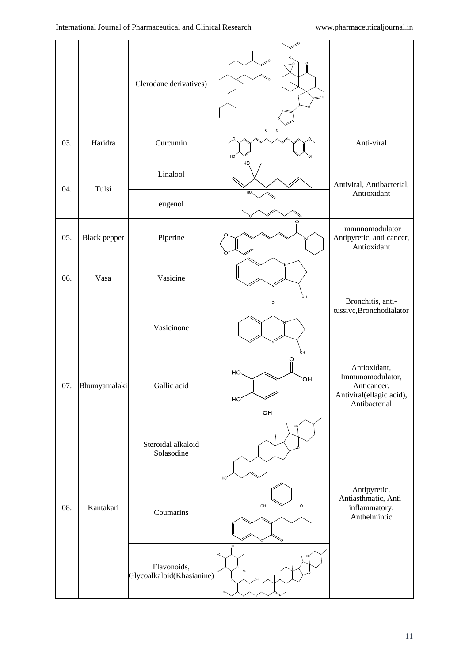|     |                     | Clerodane derivatives)                   |                                   |                                                                                              |
|-----|---------------------|------------------------------------------|-----------------------------------|----------------------------------------------------------------------------------------------|
| 03. | Haridra             | Curcumin                                 | HO <sub>.</sub><br>OН             | Anti-viral                                                                                   |
| 04. | Tulsi               | Linalool                                 | HO                                | Antiviral, Antibacterial,<br>Antioxidant                                                     |
|     |                     | eugenol                                  | HO.                               |                                                                                              |
| 05. | <b>Black pepper</b> | Piperine                                 |                                   | Immunomodulator<br>Antipyretic, anti cancer,<br>Antioxidant                                  |
| 06. | Vasa                | Vasicine                                 |                                   |                                                                                              |
|     |                     | Vasicinone                               | ÒН                                | Bronchitis, anti-<br>tussive, Bronchodialator                                                |
| 07. | Bhumyamalaki        | Gallic acid                              | O<br>HO.<br><b>OH</b><br>HO<br>ÒН | Antioxidant,<br>Immunomodulator,<br>Anticancer,<br>Antiviral(ellagic acid),<br>Antibacterial |
|     |                     | Steroidal alkaloid<br>Solasodine         | HN<br>HO <sub>1</sub>             |                                                                                              |
| 08. | Kantakari           | Coumarins                                | OH<br>ō                           | Antipyretic,<br>Antiasthmatic, Anti-<br>inflammatory,<br>Anthelmintic                        |
|     |                     | Flavonoids,<br>Glycoalkaloid(Khasianine) | OH<br>HO                          |                                                                                              |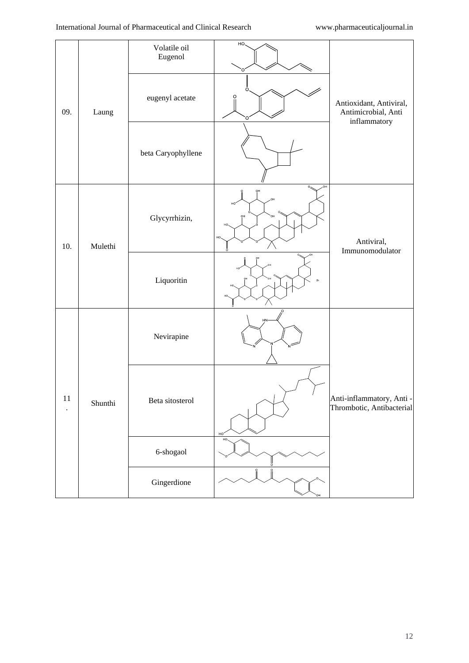|        |         | Volatile oil<br>Eugenol | HO.<br>Ō                           |                                                                                 |
|--------|---------|-------------------------|------------------------------------|---------------------------------------------------------------------------------|
| 09.    | Laung   | eugenyl acetate         | Ò.<br>O<br>O                       | Antioxidant, Antiviral,<br>Antimicrobial, Anti<br>$\operatorname{inflammatory}$ |
|        |         | beta Caryophyllene      |                                    |                                                                                 |
| 10.    | Mulethi | Glycyrrhizin,           | HO.<br>OH<br>ŌН<br>OН<br>HC<br>HO, | Antiviral,<br>Immunomodulator                                                   |
|        |         | Liquoritin              |                                    |                                                                                 |
| $11\,$ | Shunthi | Nevirapine              | HN                                 |                                                                                 |
|        |         | Beta sitosterol         | $\prime$<br>HO'                    | Anti-inflammatory, Anti -<br>Thrombotic, Antibacterial                          |
|        |         | 6-shogaol               | HO.                                |                                                                                 |
|        |         | Gingerdione             |                                    |                                                                                 |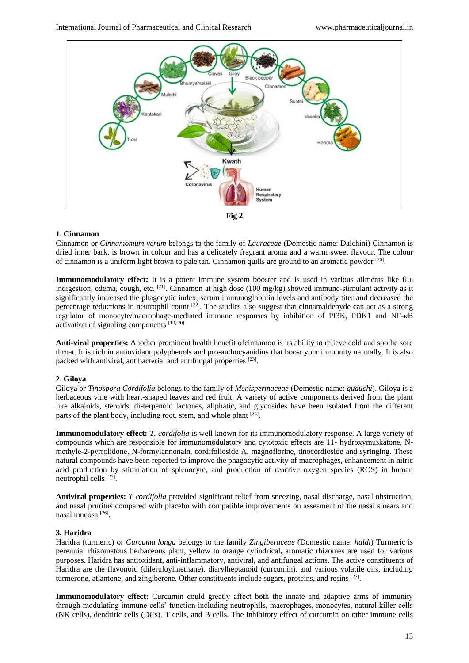



#### **1. Cinnamon**

Cinnamon or *Cinnamomum verum* belongs to the family of *Lauraceae* (Domestic name: Dalchini) Cinnamon is dried inner bark, is brown in colour and has a delicately fragrant aroma and a warm sweet flavour. The colour of cinnamon is a uniform light brown to pale tan. Cinnamon quills are ground to an aromatic powder  $^{[20]}$ .

**Immunomodulatory effect:** It is a potent immune system booster and is used in various ailments like flu, indigestion, edema, cough, etc. [21]. Cinnamon at high dose (100 mg/kg) showed immune-stimulant activity as it significantly increased the phagocytic index, serum immunoglobulin levels and antibody titer and decreased the percentage reductions in neutrophil count  $[22]$ . The studies also suggest that cinnamaldehyde can act as a strong regulator of monocyte/macrophage-mediated immune responses by inhibition of PI3K, PDK1 and NF-κB activation of signaling components  $[19, 20]$ 

**Anti-viral properties:** Another prominent health benefit ofcinnamon is its ability to relieve cold and soothe sore throat. It is rich in antioxidant polyphenols and pro-anthocyanidins that boost your immunity naturally. It is also packed with antiviral, antibacterial and antifungal properties [23].

### **2. Giloya**

Giloya or *Tinospora Cordifolia* belongs to the family of *Menispermaceae* (Domestic name: *guduchi*). Giloya is a herbaceous vine with heart-shaped leaves and red fruit. A variety of active components derived from the plant like alkaloids, steroids, di-terpenoid lactones, aliphatic, and glycosides have been isolated from the different parts of the plant body, including root, stem, and whole plant  $[24]$ .

**Immunomodulatory effect:** *T. cordifolia* is well known for its immunomodulatory response. A large variety of compounds which are responsible for immunomodulatory and cytotoxic effects are 11- hydroxymuskatone, Nmethyle-2-pyrrolidone, N-formylannonain, cordifolioside A, magnoflorine, tinocordioside and syringing. These natural compounds have been reported to improve the phagocytic activity of macrophages, enhancement in nitric acid production by stimulation of splenocyte, and production of reactive oxygen species (ROS) in human neutrophil cells [25].

**Antiviral properties:** *T cordifolia* provided significant relief from sneezing, nasal discharge, nasal obstruction, and nasal pruritus compared with placebo with compatible improvements on assesment of the nasal smears and nasal mucosa<sup>[26]</sup>.

### **3. Haridra**

Haridra (turmeric) or *Curcuma longa* belongs to the family *Zingiberaceae* (Domestic name: *haldi*) Turmeric is perennial rhizomatous herbaceous plant, yellow to orange cylindrical, aromatic rhizomes are used for various purposes. Haridra has antioxidant, anti-inflammatory, antiviral, and antifungal actions. The active constituents of Haridra are the flavonoid (diferuloylmethane), diarylheptanoid (curcumin), and various volatile oils, including turmerone, atlantone, and zingiberene. Other constituents include sugars, proteins, and resins [27].

**Immunomodulatory effect:** Curcumin could greatly affect both the innate and adaptive arms of immunity through modulating immune cells' function including neutrophils, macrophages, monocytes, natural killer cells (NK cells), dendritic cells (DCs), T cells, and B cells. The inhibitory effect of curcumin on other immune cells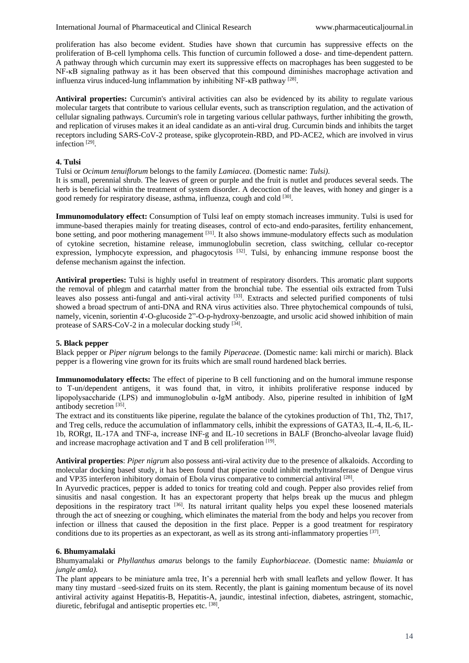proliferation has also become evident. Studies have shown that curcumin has suppressive effects on the proliferation of B-cell lymphoma cells. This function of curcumin followed a dose- and time-dependent pattern. A pathway through which curcumin may exert its suppressive effects on macrophages has been suggested to be NF- $\kappa$ B signaling pathway as it has been observed that this compound diminishes macrophage activation and influenza virus induced-lung inflammation by inhibiting NF-κB pathway<sup>[28]</sup>.

**Antiviral properties:** Curcumin's antiviral activities can also be evidenced by its ability to regulate various molecular targets that contribute to various cellular events, such as transcription regulation, and the activation of cellular signaling pathways. Curcumin's role in targeting various cellular pathways, further inhibiting the growth, and replication of viruses makes it an ideal candidate as an anti-viral drug. Curcumin binds and inhibits the target receptors including SARS-CoV-2 protease, spike glycoprotein-RBD, and PD-ACE2, which are involved in virus infection<sup>[29]</sup>.

### **4. Tulsi**

Tulsi or *Ocimum tenuiflorum* belongs to the family *Lamiacea*. (Domestic name: *Tulsi)*.

It is small, perennial shrub. The leaves of green or purple and the fruit is nutlet and produces several seeds. The herb is beneficial within the treatment of system disorder. A decoction of the leaves, with honey and ginger is a good remedy for respiratory disease, asthma, influenza, cough and cold <a>[30]</a>.

**Immunomodulatory effect:** Consumption of Tulsi leaf on empty stomach increases immunity. Tulsi is used for immune-based therapies mainly for treating diseases, control of ecto-and endo-parasites, fertility enhancement, bone setting, and poor mothering management <sup>[31]</sup>. It also shows immune-modulatory effects such as modulation of cytokine secretion, histamine release, immunoglobulin secretion, class switching, cellular co-receptor expression, lymphocyte expression, and phagocytosis <sup>[32]</sup>. Tulsi, by enhancing immune response boost the defense mechanism against the infection.

**Antiviral properties:** Tulsi is highly useful in treatment of respiratory disorders. This aromatic plant supports the removal of phlegm and catarrhal matter from the bronchial tube. The essential oils extracted from Tulsi leaves also possess anti-fungal and anti-viral activity [33]. Extracts and selected purified components of tulsi showed a broad spectrum of anti-DNA and RNA virus activities also. Three phytochemical compounds of tulsi, namely, vicenin, sorientin 4'-O-glucoside 2"-O-p-hydroxy-benzoagte, and ursolic acid showed inhibition of main protease of SARS-CoV-2 in a molecular docking study [34].

## **5. Black pepper**

Black pepper or *Piper nigrum* belongs to the family *Piperaceae*. (Domestic name: kali mirchi or marich). Black pepper is a flowering vine grown for its fruits which are small round hardened black berries.

**Immunomodulatory effects:** The effect of piperine to B cell functioning and on the humoral immune response to T-un/dependent antigens, it was found that, in vitro, it inhibits proliferative response induced by lipopolysaccharide (LPS) and immunoglobulin α-IgM antibody. Also, piperine resulted in inhibition of IgM antibody secretion<sup>[35]</sup>.

The extract and its constituents like piperine, regulate the balance of the cytokines production of Th1, Th2, Th17, and Treg cells, reduce the accumulation of inflammatory cells, inhibit the expressions of GATA3, IL-4, IL-6, IL-1b, RORgt, IL-17A and TNF-a, increase INF-g and IL-10 secretions in BALF (Broncho-alveolar lavage fluid) and increase macrophage activation and T and B cell proliferation  $[19]$ .

**Antiviral properties**: *Piper nigrum* also possess anti-viral activity due to the presence of alkaloids. According to molecular docking based study, it has been found that piperine could inhibit methyltransferase of Dengue virus and VP35 interferon inhibitory domain of Ebola virus comparative to commercial antiviral [28].

In Ayurvedic practices, pepper is added to tonics for treating cold and cough. Pepper also provides relief from sinusitis and nasal congestion. It has an expectorant property that helps break up the mucus and phlegm depositions in the respiratory tract <sup>[36]</sup>. Its natural irritant quality helps you expel these loosened materials through the act of sneezing or coughing, which eliminates the material from the body and helps you recover from infection or illness that caused the deposition in the first place. Pepper is a good treatment for respiratory conditions due to its properties as an expectorant, as well as its strong anti-inflammatory properties [37].

#### **6. Bhumyamalaki**

Bhumyamalaki or *Phyllanthus amarus* belongs to the family *Euphorbiaceae*. (Domestic name: *bhuiamla* or *jungle amla).*

The plant appears to be miniature amla tree, It's a perennial herb with small leaflets and yellow flower. It has many tiny mustard –seed-sized fruits on its stem. Recently, the plant is gaining momentum because of its novel antiviral activity against Hepatitis-B, Hepatitis-A, jaundic, intestinal infection, diabetes, astringent, stomachic, diuretic, febrifugal and antiseptic properties etc. [38].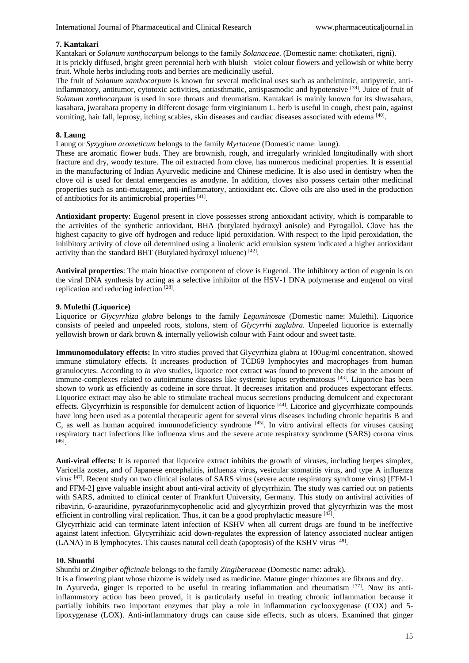### **7. Kantakari**

Kantakari or *Solanum xanthocarpum* belongs to the family *Solanaceae.* (Domestic name: chotikateri, rigni). It is prickly diffused, bright green perennial herb with bluish –violet colour flowers and yellowish or white berry fruit. Whole herbs including roots and berries are medicinally useful.

The fruit of *Solanum xanthocarpum* is known for several medicinal uses such as anthelmintic, antipyretic, antiinflammatory, antitumor, cytotoxic activities**,** antiasthmatic, antispasmodic and hypotensive [39]. Juice of fruit of *Solanum xanthocarpum* is used in sore throats and rheumatism. Kantakari is mainly known for its shwasahara, kasahara, jwarahara property in different dosage form virginianum L. herb is useful in cough, chest pain, against vomiting, hair fall, leprosy, itching scabies, skin diseases and cardiac diseases associated with edema<sup>[40]</sup>.

#### **8. Laung**

Laung or *Syzygium arometicum* belongs to the family *Myrtaceae* (Domestic name: laung).

These are aromatic flower buds. They are brownish, rough, and irregularly wrinkled longitudinally with short fracture and dry, woody texture. The oil extracted from clove, has numerous medicinal properties. It is essential in the manufacturing of Indian Ayurvedic medicine and Chinese medicine. It is also used in dentistry when the clove oil is used for dental emergencies as anodyne. In addition, cloves also possess certain other medicinal properties such as anti-mutagenic, anti-inflammatory, antioxidant etc. Clove oils are also used in the production of antibiotics for its antimicrobial properties [41].

**Antioxidant property**: Eugenol present in clove possesses strong antioxidant activity, which is comparable to the activities of the synthetic antioxidant, BHA (butylated hydroxyl anisole) and Pyrogallol**.** Clove has the highest capacity to give off hydrogen and reduce lipid peroxidation. With respect to the lipid peroxidation, the inhibitory activity of clove oil determined using a linolenic acid emulsion system indicated a higher antioxidant activity than the standard BHT (Butylated hydroxyl toluene) [42].

**Antiviral properties**: The main bioactive component of clove is Eugenol. The inhibitory action of eugenin is on the viral DNA synthesis by acting as a selective inhibitor of the HSV-1 DNA polymerase and eugenol on viral replication and reducing infection [28].

#### **9. Mulethi (Liquorice)**

Liquorice or *Glycyrrhiza glabra* belongs to the family *Leguminosae* (Domestic name: Mulethi). Liquorice consists of peeled and unpeeled roots, stolons, stem of *Glycyrrhi zaglabra.* Unpeeled liquorice is externally yellowish brown or dark brown & internally yellowish colour with Faint odour and sweet taste.

**Immunomodulatory effects:** In vitro studies proved that Glycyrrhiza glabra at 100μg/ml concentration, showed immune stimulatory effects. It increases production of TCD69 lymphocytes and macrophages from human granulocytes. According to *in vivo* studies, liquorice root extract was found to prevent the rise in the amount of immune-complexes related to autoimmune diseases like systemic lupus erythematosus [43]. Liquorice has been shown to work as efficiently as codeine in sore throat. It decreases irritation and produces expectorant effects. Liquorice extract may also be able to stimulate tracheal mucus secretions producing demulcent and expectorant effects. Glycyrrhizin is responsible for demulcent action of liquorice [44]. Licorice and glycyrrhizate compounds have long been used as a potential therapeutic agent for several virus diseases including chronic hepatitis B and C, as well as human acquired immunodeficiency syndrome [45]. In vitro antiviral effects for viruses causing respiratory tract infections like influenza virus and the severe acute respiratory syndrome (SARS) corona virus [46] .

**Anti-viral effects:** It is reported that liquorice extract inhibits the growth of viruses, including herpes simplex, Varicella zoster**,** and of Japanese encephalitis, influenza virus**,** vesicular stomatitis virus, and type A influenza virus [47]. Recent study on two clinical isolates of SARS virus (severe acute respiratory syndrome virus) [FFM-1 and FFM-2] gave valuable insight about anti-viral activity of glycyrrhizin. The study was carried out on patients with SARS, admitted to clinical center of Frankfurt University, Germany. This study on antiviral activities of ribavirin, 6-azauridine, pyrazofurinmycophenolic acid and glycyrrhizin proved that glycyrrhizin was the most efficient in controlling viral replication. Thus, it can be a good prophylactic measure  $[43]$ .

Glycyrrhizic acid can terminate latent infection of KSHV when all current drugs are found to be ineffective against latent infection. Glycyrrihizic acid down-regulates the expression of latency associated nuclear antigen (LANA) in B lymphocytes. This causes natural cell death (apoptosis) of the KSHV virus [48].

#### **10. Shunthi**

Shunthi or *Zingiber officinale* belongs to the family *Zingiberaceae* (Domestic name: adrak).

It is a flowering plant whose rhizome is widely used as medicine. Mature ginger rhizomes are fibrous and dry. In Ayurveda, ginger is reported to be useful in treating inflammation and rheumatism  $[77]$ . Now its antiinflammatory action has been proved, it is particularly useful in treating chronic inflammation because it partially inhibits two important enzymes that play a role in inflammation cyclooxygenase (COX) and 5 lipoxygenase (LOX). Anti-inflammatory drugs can cause side effects, such as ulcers. Examined that ginger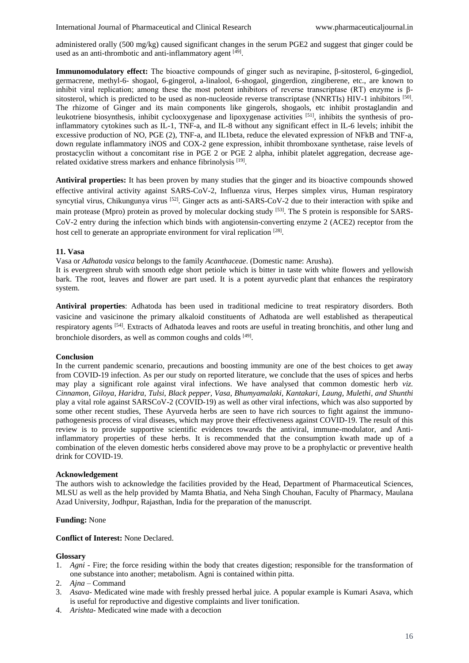administered orally (500 mg/kg) caused significant changes in the serum PGE2 and suggest that ginger could be used as an anti-thrombotic and anti-inflammatory agent [49].

**Immunomodulatory effect:** The bioactive compounds of ginger such as nevirapine, β-sitosterol, 6-gingediol, germacrene, methyl-6- shogaol, 6-gingerol, a-linalool, 6-shogaol, gingerdion, zingiberene, etc., are known to inhibit viral replication; among these the most potent inhibitors of reverse transcriptase (RT) enzyme is βsitosterol, which is predicted to be used as non-nucleoside reverse transcriptase (NNRTIs) HIV-1 inhibitors  $[50]$ . The rhizome of Ginger and its main components like gingerols, shogaols, etc inhibit prostaglandin and leukotriene biosynthesis, inhibit cyclooxygenase and lipoxygenase activities [51], inhibits the synthesis of proinflammatory cytokines such as IL-1, TNF-a, and IL-8 without any significant effect in IL-6 levels; inhibit the excessive production of NO, PGE (2), TNF-a, and IL1beta, reduce the elevated expression of NFkB and TNF-a, down regulate inflammatory iNOS and COX-2 gene expression, inhibit thromboxane synthetase, raise levels of prostacyclin without a concomitant rise in PGE 2 or PGE 2 alpha, inhibit platelet aggregation, decrease agerelated oxidative stress markers and enhance fibrinolysis [19].

**Antiviral properties:** It has been proven by many studies that the ginger and its bioactive compounds showed effective antiviral activity against SARS-CoV-2, Influenza virus, Herpes simplex virus, Human respiratory syncytial virus, Chikungunya virus <sup>[52]</sup>. Ginger acts as anti-SARS-CoV-2 due to their interaction with spike and main protease (Mpro) protein as proved by molecular docking study [53]. The S protein is responsible for SARS-CoV-2 entry during the infection which binds with angiotensin-converting enzyme 2 (ACE2) receptor from the host cell to generate an appropriate environment for viral replication [28].

#### **11. Vasa**

Vasa or *Adhatoda vasica* belongs to the family *Acanthaceae*. (Domestic name: Arusha).

It is evergreen shrub with smooth edge short petiole which is bitter in taste with white flowers and yellowish bark. The root, leaves and flower are part used. It is a potent ayurvedic plant that enhances the respiratory system.

**Antiviral properties**: Adhatoda has been used in traditional medicine to treat respiratory disorders. Both vasicine and vasicinone the primary alkaloid constituents of Adhatoda are well established as therapeutical respiratory agents [54]. Extracts of Adhatoda leaves and roots are useful in treating bronchitis, and other lung and bronchiole disorders, as well as common coughs and colds [49].

### **Conclusion**

In the current pandemic scenario, precautions and boosting immunity are one of the best choices to get away from COVID-19 infection. As per our study on reported literature, we conclude that the uses of spices and herbs may play a significant role against viral infections. We have analysed that common domestic herb *viz. Cinnamon, Giloya, Haridra, Tulsi, Black pepper, Vasa, Bhumyamalaki, Kantakari, Laung, Mulethi, and Shunthi*  play a vital role against SARSCoV-2 (COVID-19) as well as other viral infections, which was also supported by some other recent studies, These Ayurveda herbs are seen to have rich sources to fight against the immunopathogenesis process of viral diseases, which may prove their effectiveness against COVID-19. The result of this review is to provide supportive scientific evidences towards the antiviral, immune-modulator, and Antiinflammatory properties of these herbs. It is recommended that the consumption kwath made up of a combination of the eleven domestic herbs considered above may prove to be a prophylactic or preventive health drink for COVID-19.

#### **Acknowledgement**

The authors wish to acknowledge the facilities provided by the Head, Department of Pharmaceutical Sciences, MLSU as well as the help provided by Mamta Bhatia, and Neha Singh Chouhan, Faculty of Pharmacy, Maulana Azad University, Jodhpur, Rajasthan, India for the preparation of the manuscript.

#### **Funding:** None

**Conflict of Interest:** None Declared.

#### **Glossary**

- 1. *Agni*  Fire; the force residing within the body that creates digestion; responsible for the transformation of one substance into another; metabolism. Agni is contained within pitta.
- 2. *Ajna* Command
- 3. *Asava* Medicated wine made with freshly pressed herbal juice. A popular example is Kumari Asava, which is useful for reproductive and digestive complaints and liver tonification.
- 4. *Arishta* Medicated wine made with a decoction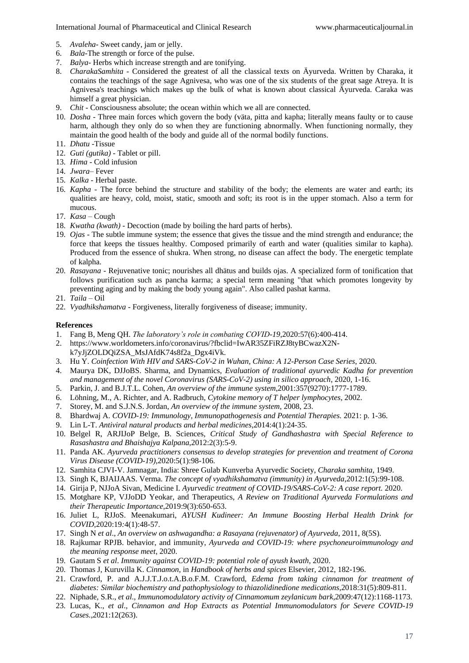- 5. *Avaleha* Sweet candy, jam or jelly.
- 6. *Bala*-The strength or force of the pulse.
- 7. *Balya* Herbs which increase strength and are tonifying.
- 8. *CharakaSamhita* Considered the greatest of all the classical texts on Äyurveda. Written by Charaka, it contains the teachings of the sage Agnivesa, who was one of the six students of the great sage Atreya. It is Agnivesa's teachings which makes up the bulk of what is known about classical Äyurveda. Caraka was himself a great physician.
- 9. *Chit* Consciousness absolute; the ocean within which we all are connected.
- 10. *Dosha* Three main forces which govern the body (väta, pitta and kapha; literally means faulty or to cause harm, although they only do so when they are functioning abnormally. When functioning normally, they maintain the good health of the body and guide all of the normal bodily functions.
- 11. *Dhatu* -Tissue
- 12. *Guti (gutika)* Tablet or pill.
- 13. *Hima* Cold infusion
- 14. *Jwara* Fever
- 15. *Kalka* Herbal paste.
- 16. *Kapha* The force behind the structure and stability of the body; the elements are water and earth; its qualities are heavy, cold, moist, static, smooth and soft; its root is in the upper stomach. Also a term for mucous.
- 17. *Kasa* Cough
- 18. *Kwatha (kwath)* Decoction (made by boiling the hard parts of herbs).
- 19. *Ojas* The subtle immune system; the essence that gives the tissue and the mind strength and endurance; the force that keeps the tissues healthy. Composed primarily of earth and water (qualities similar to kapha). Produced from the essence of shukra. When strong, no disease can affect the body. The energetic template of kalpha.
- 20. *Rasayana* Rejuvenative tonic; nourishes all dhätus and builds ojas. A specialized form of tonification that follows purification such as pancha karma; a special term meaning "that which promotes longevity by preventing aging and by making the body young again". Also called pashat karma.
- 21. *Taila* Oil
- 22. *Vyadhikshamatva* Forgiveness, literally forgiveness of disease; immunity.

### **References**

- 1. Fang B, Meng QH. *The laboratory's role in combating COVID-19*,2020:57(6):400-414.
- 2. https://www.worldometers.info/coronavirus/?fbclid=IwAR35ZFiRZJ8tyBCwazX2Nk7yJjZOLDQiZSA\_MsJAfdK74s8f2a\_Dgx4iVk.
- 3. Hu Y. *Coinfection With HIV and SARS-CoV-2 in Wuhan, China: A 12-Person Case Series*, 2020.
- 4. Maurya DK, DJJoBS. Sharma, and Dynamics, *Evaluation of traditional ayurvedic Kadha for prevention and management of the novel Coronavirus (SARS-CoV-2) using in silico approach*, 2020, 1-16.
- 5. Parkin, J. and B.J.T.L. Cohen, *An overview of the immune system*,2001:357(9270):1777-1789.
- 6. Löhning, M., A. Richter, and A. Radbruch, *Cytokine memory of T helper lymphocytes*, 2002.
- 7. Storey, M. and S.J.N.S. Jordan, *An overview of the immune system*, 2008, 23.
- 8. Bhardwaj A. *COVID-19: Immunology, Immunopathogenesis and Potential Therapies.* 2021: p. 1-36.
- 9. Lin L-T. *Antiviral natural products and herbal medicines*,2014:4(1):24-35.
- 10. Belgel R, ARJIJoP Belge, B. Sciences, *Critical Study of Gandhashastra with Special Reference to Rasashastra and Bhaishajya Kalpana*,2012:2(3):5-9.
- 11. Panda AK. *Ayurveda practitioners consensus to develop strategies for prevention and treatment of Corona Virus Disease (COVID-19)*,2020:5(1):98-106.
- 12. Samhita CJVI-V. Jamnagar, India: Shree Gulab Kunverba Ayurvedic Society, *Charaka samhita*, 1949.
- 13. Singh K, BJAIJAAS. Verma. *The concept of vyadhikshamatva (immunity) in Ayurveda*,2012:1(5):99-108.
- 14. Girija P, NJJoA Sivan, Medicine I. *Ayurvedic treatment of COVID-19/SARS-CoV-2: A case report.* 2020.
- 15. Motghare KP, VJJoDD Yeokar, and Therapeutics, *A Review on Traditional Ayurveda Formulations and their Therapeutic Importance*,2019:9(3):650-653.
- 16. Juliet L, RJJoS. Meenakumari, *AYUSH Kudineer: An Immune Boosting Herbal Health Drink for COVID*,2020:19*:*4(1):48-57.
- 17. Singh N *et al*., *An overview on ashwagandha: a Rasayana (rejuvenator) of Ayurveda*, 2011, 8(5S).
- 18. Rajkumar RPJB. behavior, and immunity, *Ayurveda and COVID-19: where psychoneuroimmunology and the meaning response meet*, 2020.
- 19. Gautam S *et al*. *Immunity against COVID-19: potential role of ayush kwath*, 2020.
- 20. Thomas J, Kuruvilla K. *Cinnamon*, in *Handbook of herbs and spices* Elsevier, 2012, 182-196.
- 21. Crawford, P. and A.J.J.T.J.o.t.A.B.o.F.M. Crawford, *Edema from taking cinnamon for treatment of diabetes: Similar biochemistry and pathophysiology to thiazolidinedione medications*,2018:31(5):809-811.
- 22. Niphade, S.R., *et al*., *Immunomodulatory activity of Cinnamomum zeylanicum bark*,2009:47(12):1168-1173.
- 23. Lucas, K., *et al*., *Cinnamon and Hop Extracts as Potential Immunomodulators for Severe COVID-19 Cases.*,2021:12(263).